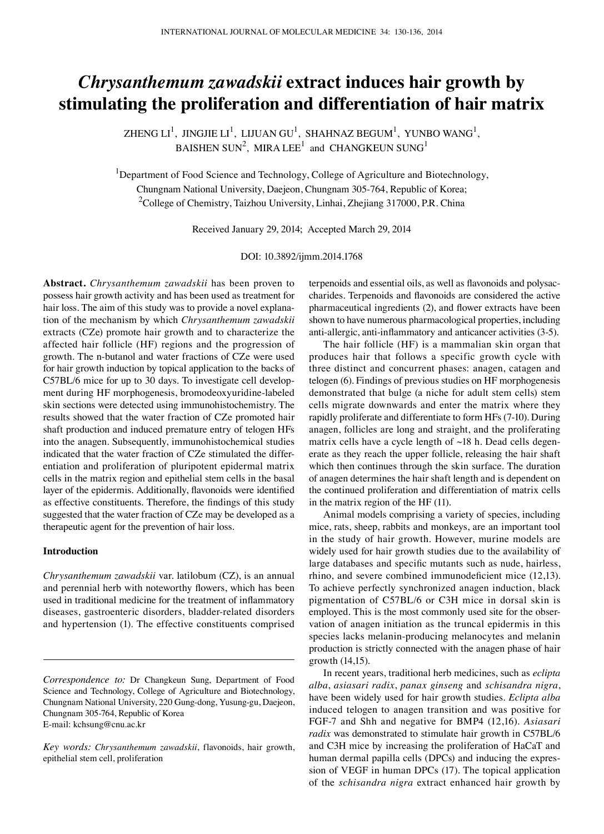# *Chrysanthemum zawadskii* **extract induces hair growth by stimulating the proliferation and differentiation of hair matrix**

ZHENG LI<sup>1</sup>, JINGJIE LI<sup>1</sup>, LIJUAN GU<sup>1</sup>, SHAHNAZ BEGUM<sup>1</sup>, YUNBO WANG<sup>1</sup>, BAISHEN SUN $^2$ , MIRA LEE $^1$  and CHANGKEUN SUNG $^1$ 

<sup>1</sup>Department of Food Science and Technology, College of Agriculture and Biotechnology, Chungnam National University, Daejeon, Chungnam 305-764, Republic of Korea; <sup>2</sup>College of Chemistry, Taizhou University, Linhai, Zhejiang 317000, P.R. China

Received January 29, 2014; Accepted March 29, 2014

DOI: 10.3892/ijmm.2014.1768

**Abstract.** *Chrysanthemum zawadskii* has been proven to possess hair growth activity and has been used as treatment for hair loss. The aim of this study was to provide a novel explanation of the mechanism by which *Chrysanthemum zawadskii* extracts (CZe) promote hair growth and to characterize the affected hair follicle (HF) regions and the progression of growth. The n-butanol and water fractions of CZe were used for hair growth induction by topical application to the backs of C57BL/6 mice for up to 30 days. To investigate cell development during HF morphogenesis, bromodeoxyuridine-labeled skin sections were detected using immunohistochemistry. The results showed that the water fraction of CZe promoted hair shaft production and induced premature entry of telogen HFs into the anagen. Subsequently, immunohistochemical studies indicated that the water fraction of CZe stimulated the differentiation and proliferation of pluripotent epidermal matrix cells in the matrix region and epithelial stem cells in the basal layer of the epidermis. Additionally, flavonoids were identified as effective constituents. Therefore, the findings of this study suggested that the water fraction of CZe may be developed as a therapeutic agent for the prevention of hair loss.

## **Introduction**

*Chrysanthemum zawadskii* var. latilobum (CZ), is an annual and perennial herb with noteworthy flowers, which has been used in traditional medicine for the treatment of inflammatory diseases, gastroenteric disorders, bladder-related disorders and hypertension (1). The effective constituents comprised

terpenoids and essential oils, as well as flavonoids and polysaccharides. Terpenoids and flavonoids are considered the active pharmaceutical ingredients (2), and flower extracts have been shown to have numerous pharmacological properties, including anti-allergic, anti-inflammatory and anticancer activities (3-5).

The hair follicle (HF) is a mammalian skin organ that produces hair that follows a specific growth cycle with three distinct and concurrent phases: anagen, catagen and telogen (6). Findings of previous studies on HF morphogenesis demonstrated that bulge (a niche for adult stem cells) stem cells migrate downwards and enter the matrix where they rapidly proliferate and differentiate to form HFs (7-10). During anagen, follicles are long and straight, and the proliferating matrix cells have a cycle length of  $\sim$ 18 h. Dead cells degenerate as they reach the upper follicle, releasing the hair shaft which then continues through the skin surface. The duration of anagen determines the hair shaft length and is dependent on the continued proliferation and differentiation of matrix cells in the matrix region of the HF (11).

Animal models comprising a variety of species, including mice, rats, sheep, rabbits and monkeys, are an important tool in the study of hair growth. However, murine models are widely used for hair growth studies due to the availability of large databases and specific mutants such as nude, hairless, rhino, and severe combined immunodeficient mice (12,13). To achieve perfectly synchronized anagen induction, black pigmentation of C57BL/6 or C3H mice in dorsal skin is employed. This is the most commonly used site for the observation of anagen initiation as the truncal epidermis in this species lacks melanin-producing melanocytes and melanin production is strictly connected with the anagen phase of hair growth (14,15).

In recent years, traditional herb medicines, such as *eclipta alba*, *asiasari radix*, *panax ginseng* and *schisandra nigra*, have been widely used for hair growth studies. *Eclipta alba* induced telogen to anagen transition and was positive for FGF-7 and Shh and negative for BMP4 (12,16). *Asiasari radix* was demonstrated to stimulate hair growth in C57BL/6 and C3H mice by increasing the proliferation of HaCaT and human dermal papilla cells (DPCs) and inducing the expression of VEGF in human DPCs (17). The topical application of the *schisandra nigra* extract enhanced hair growth by

*Correspondence to:* Dr Changkeun Sung, Department of Food Science and Technology, College of Agriculture and Biotechnology, Chungnam National University, 220 Gung-dong, Yusung-gu, Daejeon, Chungnam 305-764, Republic of Korea E-mail: kchsung@cnu.ac.kr

*Key words: Chrysanthemum zawadskii*, flavonoids, hair growth, epithelial stem cell, proliferation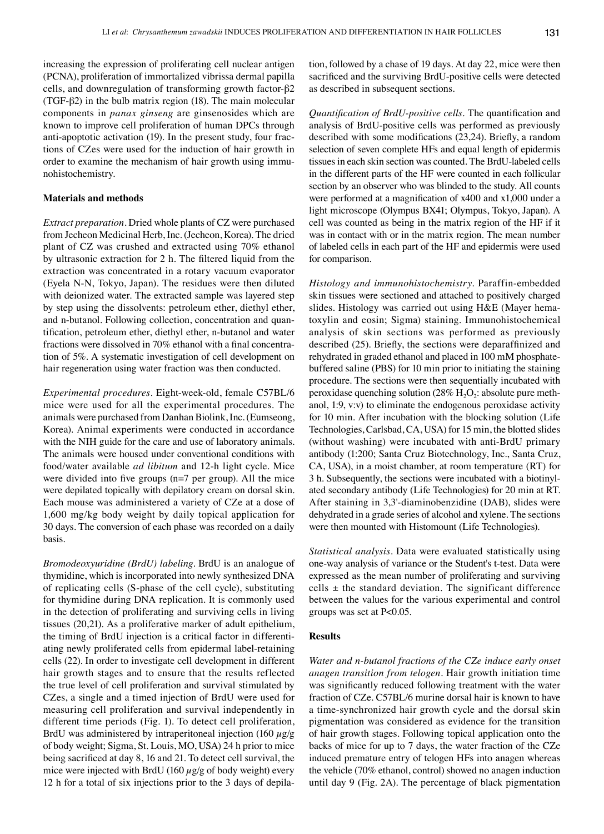increasing the expression of proliferating cell nuclear antigen (PCNA), proliferation of immortalized vibrissa dermal papilla cells, and downregulation of transforming growth factor-β2 (TGF-β2) in the bulb matrix region (18). The main molecular components in *panax ginseng* are ginsenosides which are known to improve cell proliferation of human DPCs through anti-apoptotic activation (19). In the present study, four fractions of CZes were used for the induction of hair growth in order to examine the mechanism of hair growth using immunohistochemistry.

# **Materials and methods**

*Extract preparation.* Dried whole plants of CZ were purchased from Jecheon Medicinal Herb, Inc. (Jecheon, Korea). The dried plant of CZ was crushed and extracted using 70% ethanol by ultrasonic extraction for 2 h. The filtered liquid from the extraction was concentrated in a rotary vacuum evaporator (Eyela N-N, Tokyo, Japan). The residues were then diluted with deionized water. The extracted sample was layered step by step using the dissolvents: petroleum ether, diethyl ether, and n-butanol. Following collection, concentration and quantification, petroleum ether, diethyl ether, n-butanol and water fractions were dissolved in 70% ethanol with a final concentration of 5%. A systematic investigation of cell development on hair regeneration using water fraction was then conducted.

*Experimental procedures.* Eight-week-old, female C57BL/6 mice were used for all the experimental procedures. The animals were purchased from Danhan Biolink, Inc. (Eumseong, Korea). Animal experiments were conducted in accordance with the NIH guide for the care and use of laboratory animals. The animals were housed under conventional conditions with food/water available *ad libitum* and 12-h light cycle. Mice were divided into five groups (n=7 per group). All the mice were depilated topically with depilatory cream on dorsal skin. Each mouse was administered a variety of CZe at a dose of 1,600 mg/kg body weight by daily topical application for 30 days. The conversion of each phase was recorded on a daily basis.

*Bromodeoxyuridine (BrdU) labeling.* BrdU is an analogue of thymidine, which is incorporated into newly synthesized DNA of replicating cells (S-phase of the cell cycle), substituting for thymidine during DNA replication. It is commonly used in the detection of proliferating and surviving cells in living tissues (20,21). As a proliferative marker of adult epithelium, the timing of BrdU injection is a critical factor in differentiating newly proliferated cells from epidermal label-retaining cells (22). In order to investigate cell development in different hair growth stages and to ensure that the results reflected the true level of cell proliferation and survival stimulated by CZes, a single and a timed injection of BrdU were used for measuring cell proliferation and survival independently in different time periods (Fig. 1). To detect cell proliferation, BrdU was administered by intraperitoneal injection (160  $\mu$ g/g of body weight; Sigma, St. Louis, MO, USA) 24 h prior to mice being sacrificed at day 8, 16 and 21. To detect cell survival, the mice were injected with BrdU (160  $\mu$ g/g of body weight) every 12 h for a total of six injections prior to the 3 days of depilation, followed by a chase of 19 days. At day 22, mice were then sacrificed and the surviving BrdU-positive cells were detected as described in subsequent sections.

*Quantification of BrdU-positive cells.* The quantification and analysis of BrdU-positive cells was performed as previously described with some modifications (23,24). Briefly, a random selection of seven complete HFs and equal length of epidermis tissues in each skin section was counted. The BrdU-labeled cells in the different parts of the HF were counted in each follicular section by an observer who was blinded to the study. All counts were performed at a magnification of x400 and x1,000 under a light microscope (Olympus BX41; Olympus, Tokyo, Japan). A cell was counted as being in the matrix region of the HF if it was in contact with or in the matrix region. The mean number of labeled cells in each part of the HF and epidermis were used for comparison.

*Histology and immunohistochemistry.* Paraffin-embedded skin tissues were sectioned and attached to positively charged slides. Histology was carried out using H&E (Mayer hematoxylin and eosin; Sigma) staining. Immunohistochemical analysis of skin sections was performed as previously described (25). Briefly, the sections were deparaffinized and rehydrated in graded ethanol and placed in 100 mM phosphatebuffered saline (PBS) for 10 min prior to initiating the staining procedure. The sections were then sequentially incubated with peroxidase quenching solution (28%  $H_2O_2$ : absolute pure methanol, 1:9, v:v) to eliminate the endogenous peroxidase activity for 10 min. After incubation with the blocking solution (Life Technologies, Carlsbad, CA, USA) for 15 min, the blotted slides (without washing) were incubated with anti-BrdU primary antibody (1:200; Santa Cruz Biotechnology, Inc., Santa Cruz, CA, USA), in a moist chamber, at room temperature (RT) for 3 h. Subsequently, the sections were incubated with a biotinylated secondary antibody (Life Technologies) for 20 min at RT. After staining in 3,3'-diaminobenzidine (DAB), slides were dehydrated in a grade series of alcohol and xylene. The sections were then mounted with Histomount (Life Technologies).

*Statistical analysis.* Data were evaluated statistically using one-way analysis of variance or the Student's t-test. Data were expressed as the mean number of proliferating and surviving cells  $\pm$  the standard deviation. The significant difference between the values for the various experimental and control groups was set at P<0.05.

#### **Results**

*Water and n-butanol fractions of the CZe induce early onset anagen transition from telogen.* Hair growth initiation time was significantly reduced following treatment with the water fraction of CZe. C57BL/6 murine dorsal hair is known to have a time-synchronized hair growth cycle and the dorsal skin pigmentation was considered as evidence for the transition of hair growth stages. Following topical application onto the backs of mice for up to 7 days, the water fraction of the CZe induced premature entry of telogen HFs into anagen whereas the vehicle (70% ethanol, control) showed no anagen induction until day 9 (Fig. 2A). The percentage of black pigmentation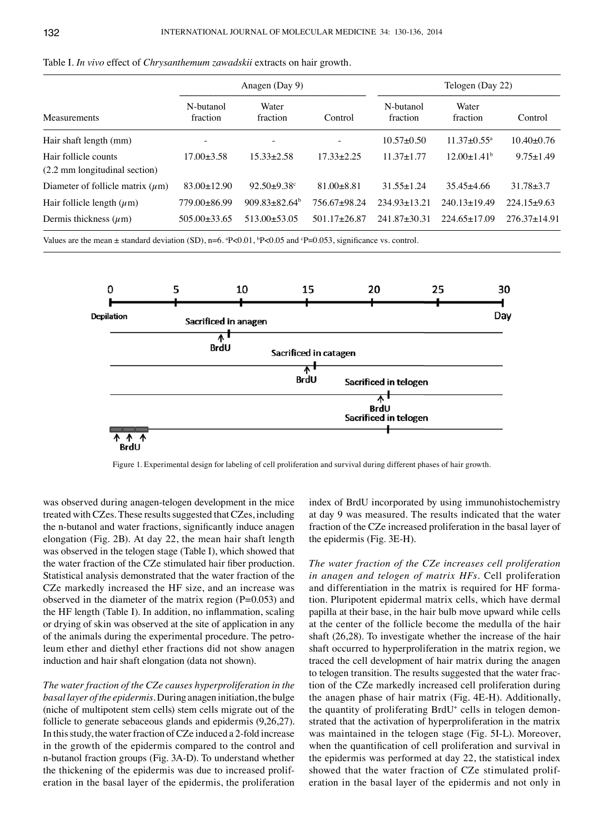|                                                                                                                       |                                            | Anagen (Day 9)       |                    | Telogen (Day 22)      |                               |                    |  |
|-----------------------------------------------------------------------------------------------------------------------|--------------------------------------------|----------------------|--------------------|-----------------------|-------------------------------|--------------------|--|
| Measurements                                                                                                          | Water<br>N-butanol<br>fraction<br>fraction |                      | Control            | N-butanol<br>fraction | Water<br>fraction             | Control            |  |
| Hair shaft length (mm)                                                                                                |                                            |                      |                    | $10.57 \pm 0.50$      | $11.37 \pm 0.55^{\text{a}}$   | $10.40 \pm 0.76$   |  |
| Hair follicle counts<br>(2.2 mm longitudinal section)                                                                 | $17.00 \pm 3.58$                           | $15.33 \pm 2.58$     | $17.33 \pm 2.25$   | $11.37 \pm 1.77$      | $12.00 \pm 1.41$ <sup>b</sup> | $9.75 \pm 1.49$    |  |
| Diameter of follicle matrix $(\mu m)$                                                                                 | $83.00 \pm 12.90$                          | $92.50+9.38^{\circ}$ | $81.00 + 8.81$     | $31.55 \pm 1.24$      | $35.45\pm4.66$                | $31.78 \pm 3.7$    |  |
| Hair follicle length $(\mu m)$                                                                                        | 779.00±86.99                               | $909.83 \pm 82.64^b$ | $756.67+98.24$     | $234.93 \pm 13.21$    | $240.13 \pm 19.49$            | $224.15+9.63$      |  |
| Dermis thickness $(\mu m)$                                                                                            | $505.00 \pm 33.65$                         | $513.00 \pm 53.05$   | $501.17 \pm 26.87$ | $241.87 \pm 30.31$    | $224.65 \pm 17.09$            | $276.37 \pm 14.91$ |  |
| Values are the mean $\pm$ standard deviation (SD), n=6. $P<0.01$ , $P<0.05$ and $P=0.053$ , significance vs. control. |                                            |                      |                    |                       |                               |                    |  |

|  |  |  |  |  |  |  | Table I. In vivo effect of <i>Chrysanthemum zawadskii</i> extracts on hair growth. |  |  |  |  |
|--|--|--|--|--|--|--|------------------------------------------------------------------------------------|--|--|--|--|
|--|--|--|--|--|--|--|------------------------------------------------------------------------------------|--|--|--|--|



**BrdU** 

Figure 1. Experimental design for labeling of cell proliferation and survival during different phases of hair growth.

was observed during anagen-telogen development in the mice treated with CZes. These results suggested that CZes, including the n-butanol and water fractions, significantly induce anagen elongation (Fig. 2B). At day 22, the mean hair shaft length was observed in the telogen stage (Table I), which showed that the water fraction of the CZe stimulated hair fiber production. Statistical analysis demonstrated that the water fraction of the CZe markedly increased the HF size, and an increase was observed in the diameter of the matrix region  $(P=0.053)$  and the HF length (Table I). In addition, no inflammation, scaling or drying of skin was observed at the site of application in any of the animals during the experimental procedure. The petroleum ether and diethyl ether fractions did not show anagen induction and hair shaft elongation (data not shown).

*The water fraction of the CZe causes hyperproliferation in the basal layer of the epidermis.* During anagen initiation, the bulge (niche of multipotent stem cells) stem cells migrate out of the follicle to generate sebaceous glands and epidermis (9,26,27). In this study, the water fraction of CZe induced a 2-fold increase in the growth of the epidermis compared to the control and n-butanol fraction groups (Fig. 3A-D). To understand whether the thickening of the epidermis was due to increased proliferation in the basal layer of the epidermis, the proliferation index of BrdU incorporated by using immunohistochemistry at day 9 was measured. The results indicated that the water fraction of the CZe increased proliferation in the basal layer of the epidermis (Fig. 3E-H).

*The water fraction of the CZe increases cell proliferation in anagen and telogen of matrix HFs.* Cell proliferation and differentiation in the matrix is required for HF formation. Pluripotent epidermal matrix cells, which have dermal papilla at their base, in the hair bulb move upward while cells at the center of the follicle become the medulla of the hair shaft (26,28). To investigate whether the increase of the hair shaft occurred to hyperproliferation in the matrix region, we traced the cell development of hair matrix during the anagen to telogen transition. The results suggested that the water fraction of the CZe markedly increased cell proliferation during the anagen phase of hair matrix (Fig. 4E-H). Additionally, the quantity of proliferating BrdU<sup>+</sup> cells in telogen demonstrated that the activation of hyperproliferation in the matrix was maintained in the telogen stage (Fig. 5I-L). Moreover, when the quantification of cell proliferation and survival in the epidermis was performed at day 22, the statistical index showed that the water fraction of CZe stimulated proliferation in the basal layer of the epidermis and not only in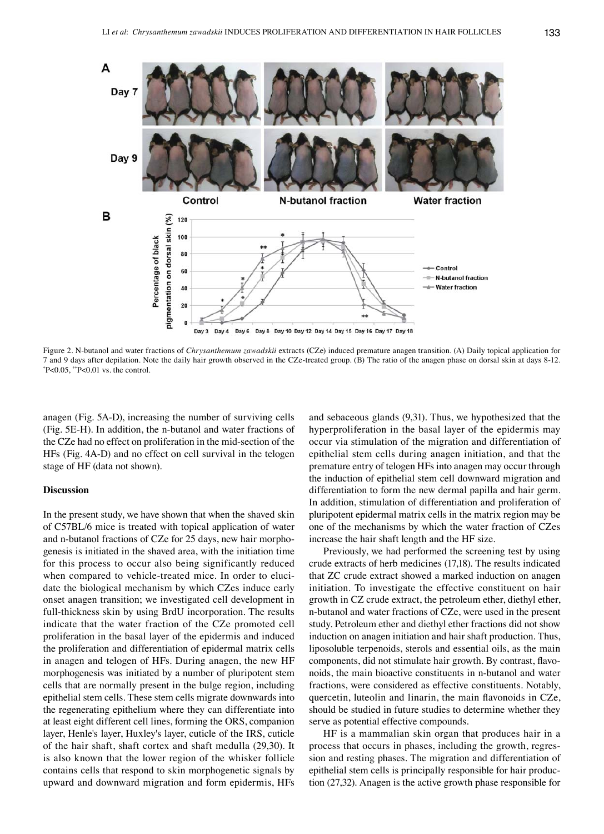

Figure 2. N-butanol and water fractions of *Chrysanthemum zawadskii* extracts (CZe) induced premature anagen transition. (A) Daily topical application for 7 and 9 days after depilation. Note the daily hair growth observed in the CZe-treated group. (B) The ratio of the anagen phase on dorsal skin at days 8-12. \*  $P < 0.05$ ,  $P < 0.01$  vs. the control.

anagen (Fig. 5A-D), increasing the number of surviving cells (Fig. 5E-H). In addition, the n-butanol and water fractions of the CZe had no effect on proliferation in the mid-section of the HFs (Fig. 4A-D) and no effect on cell survival in the telogen stage of HF (data not shown).

#### **Discussion**

In the present study, we have shown that when the shaved skin of C57BL/6 mice is treated with topical application of water and n-butanol fractions of CZe for 25 days, new hair morphogenesis is initiated in the shaved area, with the initiation time for this process to occur also being significantly reduced when compared to vehicle-treated mice. In order to elucidate the biological mechanism by which CZes induce early onset anagen transition; we investigated cell development in full-thickness skin by using BrdU incorporation. The results indicate that the water fraction of the CZe promoted cell proliferation in the basal layer of the epidermis and induced the proliferation and differentiation of epidermal matrix cells in anagen and telogen of HFs. During anagen, the new HF morphogenesis was initiated by a number of pluripotent stem cells that are normally present in the bulge region, including epithelial stem cells. These stem cells migrate downwards into the regenerating epithelium where they can differentiate into at least eight different cell lines, forming the ORS, companion layer, Henle's layer, Huxley's layer, cuticle of the IRS, cuticle of the hair shaft, shaft cortex and shaft medulla (29,30). It is also known that the lower region of the whisker follicle contains cells that respond to skin morphogenetic signals by upward and downward migration and form epidermis, HFs and sebaceous glands (9,31). Thus, we hypothesized that the hyperproliferation in the basal layer of the epidermis may occur via stimulation of the migration and differentiation of epithelial stem cells during anagen initiation, and that the premature entry of telogen HFs into anagen may occur through the induction of epithelial stem cell downward migration and differentiation to form the new dermal papilla and hair germ. In addition, stimulation of differentiation and proliferation of pluripotent epidermal matrix cells in the matrix region may be one of the mechanisms by which the water fraction of CZes increase the hair shaft length and the HF size.

Previously, we had performed the screening test by using crude extracts of herb medicines (17,18). The results indicated that ZC crude extract showed a marked induction on anagen initiation. To investigate the effective constituent on hair growth in CZ crude extract, the petroleum ether, diethyl ether, n-butanol and water fractions of CZe, were used in the present study. Petroleum ether and diethyl ether fractions did not show induction on anagen initiation and hair shaft production. Thus, liposoluble terpenoids, sterols and essential oils, as the main components, did not stimulate hair growth. By contrast, flavonoids, the main bioactive constituents in n-butanol and water fractions, were considered as effective constituents. Notably, quercetin, luteolin and linarin, the main flavonoids in CZe, should be studied in future studies to determine whether they serve as potential effective compounds.

HF is a mammalian skin organ that produces hair in a process that occurs in phases, including the growth, regression and resting phases. The migration and differentiation of epithelial stem cells is principally responsible for hair production (27,32). Anagen is the active growth phase responsible for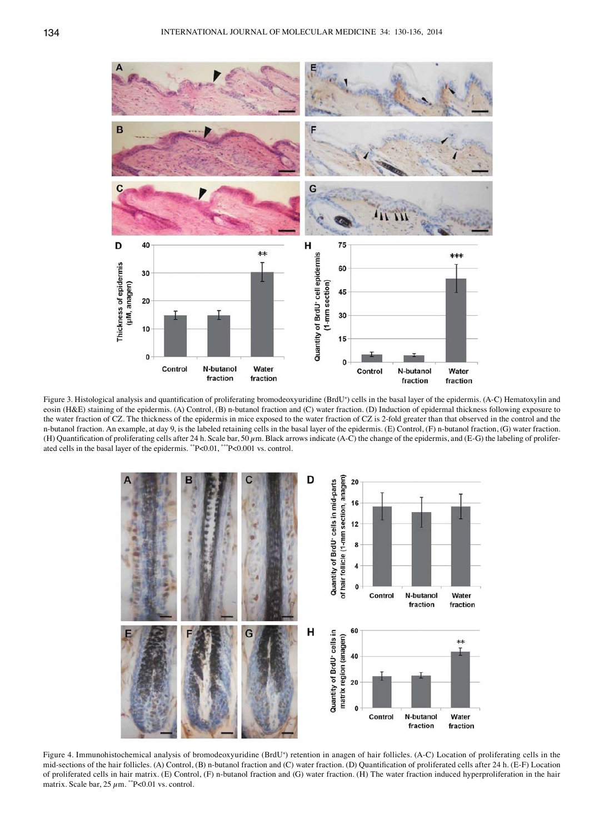

Figure 3. Histological analysis and quantification of proliferating bromodeoxyuridine (BrdU+) cells in the basal layer of the epidermis. (A-C) Hematoxylin and eosin (H&E) staining of the epidermis. (A) Control, (B) n-butanol fraction and (C) water fraction. (D) Induction of epidermal thickness following exposure to the water fraction of CZ. The thickness of the epidermis in mice exposed to the water fraction of CZ is 2-fold greater than that observed in the control and the n-butanol fraction. An example, at day 9, is the labeled retaining cells in the basal layer of the epidermis. (E) Control, (F) n-butanol fraction, (G) water fraction. (H) Quantification of proliferating cells after 24 h. Scale bar, 50 µm. Black arrows indicate (A-C) the change of the epidermis, and (E-G) the labeling of proliferated cells in the basal layer of the epidermis. \*\*P<0.01, \*\*\*P<0.001 vs. control.



Figure 4. Immunohistochemical analysis of bromodeoxyuridine (BrdU<sup>+</sup>) retention in anagen of hair follicles. (A-C) Location of proliferating cells in the mid-sections of the hair follicles. (A) Control, (B) n-butanol fraction and (C) water fraction. (D) Quantification of proliferated cells after 24 h. (E-F) Location of proliferated cells in hair matrix. (E) Control, (F) n-butanol fraction and (G) water fraction. (H) The water fraction induced hyperproliferation in the hair matrix. Scale bar,  $25 \mu m$ . \*\*P<0.01 vs. control.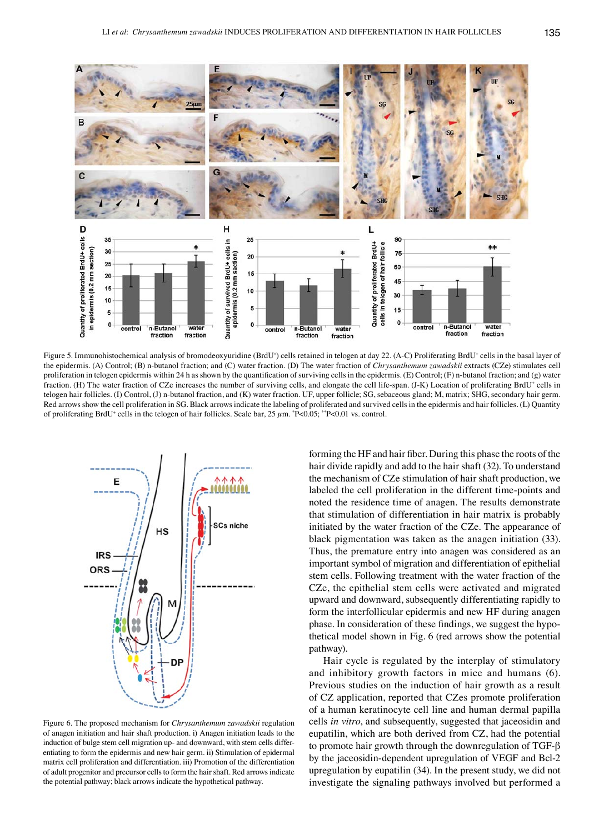

Figure 5. Immunohistochemical analysis of bromodeoxyuridine (BrdU+ ) cells retained in telogen at day 22. (A-C) Proliferating BrdU+ cells in the basal layer of the epidermis. (A) Control; (B) n-butanol fraction; and (C) water fraction. (D) The water fraction of *Chrysanthemum zawadskii* extracts (CZe) stimulates cell proliferation in telogen epidermis within 24 h as shown by the quantification of surviving cells in the epidermis. (E) Control; (F) n-butanol fraction; and (g) water fraction. (H) The water fraction of CZe increases the number of surviving cells, and elongate the cell life-span. (J-K) Location of proliferating BrdU+ cells in telogen hair follicles. (I) Control, (J) n-butanol fraction, and (K) water fraction. UF, upper follicle; SG, sebaceous gland; M, matrix; SHG, secondary hair germ. Red arrows show the cell proliferation in SG. Black arrows indicate the labeling of proliferated and survived cells in the epidermis and hair follicles. (L) Quantity of proliferating BrdU<sup>+</sup> cells in the telogen of hair follicles. Scale bar, 25  $\mu$ m. \*P<0.05; \*\*P<0.01 vs. control.



Figure 6. The proposed mechanism for *Chrysanthemum zawadskii* regulation of anagen initiation and hair shaft production. i) Anagen initiation leads to the induction of bulge stem cell migration up- and downward, with stem cells differentiating to form the epidermis and new hair germ. ii) Stimulation of epidermal matrix cell proliferation and differentiation. iii) Promotion of the differentiation of adult progenitor and precursor cells to form the hair shaft. Red arrows indicate the potential pathway; black arrows indicate the hypothetical pathway.

forming the HF and hair fiber. During this phase the roots of the hair divide rapidly and add to the hair shaft (32). To understand the mechanism of CZe stimulation of hair shaft production, we labeled the cell proliferation in the different time-points and noted the residence time of anagen. The results demonstrate that stimulation of differentiation in hair matrix is probably initiated by the water fraction of the CZe. The appearance of black pigmentation was taken as the anagen initiation (33). Thus, the premature entry into anagen was considered as an important symbol of migration and differentiation of epithelial stem cells. Following treatment with the water fraction of the CZe, the epithelial stem cells were activated and migrated upward and downward, subsequently differentiating rapidly to form the interfollicular epidermis and new HF during anagen phase. In consideration of these findings, we suggest the hypothetical model shown in Fig. 6 (red arrows show the potential pathway).

Hair cycle is regulated by the interplay of stimulatory and inhibitory growth factors in mice and humans (6). Previous studies on the induction of hair growth as a result of CZ application, reported that CZes promote proliferation of a human keratinocyte cell line and human dermal papilla cells *in vitro*, and subsequently, suggested that jaceosidin and eupatilin, which are both derived from CZ, had the potential to promote hair growth through the downregulation of TGF- $\beta$ by the jaceosidin-dependent upregulation of VEGF and Bcl-2 upregulation by eupatilin (34). In the present study, we did not investigate the signaling pathways involved but performed a